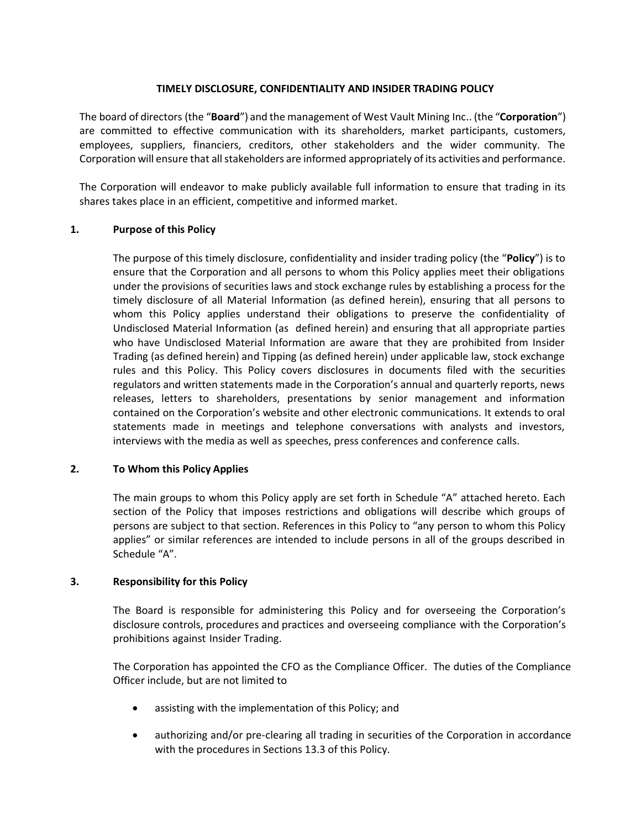## **TIMELY DISCLOSURE, CONFIDENTIALITY AND INSIDER TRADING POLICY**

The board of directors (the "**Board**") and the management of West Vault Mining Inc.. (the "**Corporation**") are committed to effective communication with its shareholders, market participants, customers, employees, suppliers, financiers, creditors, other stakeholders and the wider community. The Corporation will ensure that all stakeholders are informed appropriately of its activities and performance.

The Corporation will endeavor to make publicly available full information to ensure that trading in its shares takes place in an efficient, competitive and informed market.

### **1. Purpose of this Policy**

The purpose of this timely disclosure, confidentiality and insider trading policy (the "**Policy**") is to ensure that the Corporation and all persons to whom this Policy applies meet their obligations under the provisions of securities laws and stock exchange rules by establishing a process for the timely disclosure of all Material Information (as defined herein), ensuring that all persons to whom this Policy applies understand their obligations to preserve the confidentiality of Undisclosed Material Information (as defined herein) and ensuring that all appropriate parties who have Undisclosed Material Information are aware that they are prohibited from Insider Trading (as defined herein) and Tipping (as defined herein) under applicable law, stock exchange rules and this Policy. This Policy covers disclosures in documents filed with the securities regulators and written statements made in the Corporation's annual and quarterly reports, news releases, letters to shareholders, presentations by senior management and information contained on the Corporation's website and other electronic communications. It extends to oral statements made in meetings and telephone conversations with analysts and investors, interviews with the media as well as speeches, press conferences and conference calls.

### **2. To Whom this Policy Applies**

The main groups to whom this Policy apply are set forth in Schedule "A" attached hereto. Each section of the Policy that imposes restrictions and obligations will describe which groups of persons are subject to that section. References in this Policy to "any person to whom this Policy applies" or similar references are intended to include persons in all of the groups described in Schedule "A".

### **3. Responsibility for this Policy**

The Board is responsible for administering this Policy and for overseeing the Corporation's disclosure controls, procedures and practices and overseeing compliance with the Corporation's prohibitions against Insider Trading.

The Corporation has appointed the CFO as the Compliance Officer. The duties of the Compliance Officer include, but are not limited to

- assisting with the implementation of this Policy; and
- authorizing and/or pre-clearing all trading in securities of the Corporation in accordance with the procedures in Sections 13.3 of this Policy.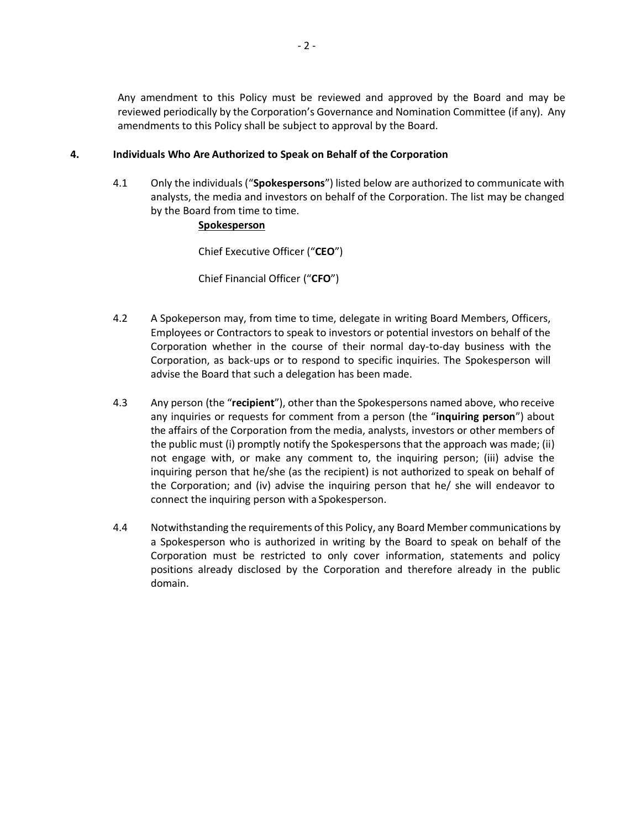Any amendment to this Policy must be reviewed and approved by the Board and may be reviewed periodically by the Corporation's Governance and Nomination Committee (if any). Any amendments to this Policy shall be subject to approval by the Board.

## **4. Individuals Who Are Authorized to Speak on Behalf of the Corporation**

4.1 Only the individuals ("**Spokespersons**") listed below are authorized to communicate with analysts, the media and investors on behalf of the Corporation. The list may be changed by the Board from time to time.

## **Spokesperson**

Chief Executive Officer ("**CEO**")

Chief Financial Officer ("**CFO**")

- 4.2 A Spokeperson may, from time to time, delegate in writing Board Members, Officers, Employees or Contractors to speak to investors or potential investors on behalf of the Corporation whether in the course of their normal day-to-day business with the Corporation, as back-ups or to respond to specific inquiries. The Spokesperson will advise the Board that such a delegation has been made.
- 4.3 Any person (the "**recipient**"), other than the Spokespersons named above, who receive any inquiries or requests for comment from a person (the "**inquiring person**") about the affairs of the Corporation from the media, analysts, investors or other members of the public must (i) promptly notify the Spokespersons that the approach was made; (ii) not engage with, or make any comment to, the inquiring person; (iii) advise the inquiring person that he/she (as the recipient) is not authorized to speak on behalf of the Corporation; and (iv) advise the inquiring person that he/ she will endeavor to connect the inquiring person with a Spokesperson.
- 4.4 Notwithstanding the requirements of this Policy, any Board Member communications by a Spokesperson who is authorized in writing by the Board to speak on behalf of the Corporation must be restricted to only cover information, statements and policy positions already disclosed by the Corporation and therefore already in the public domain.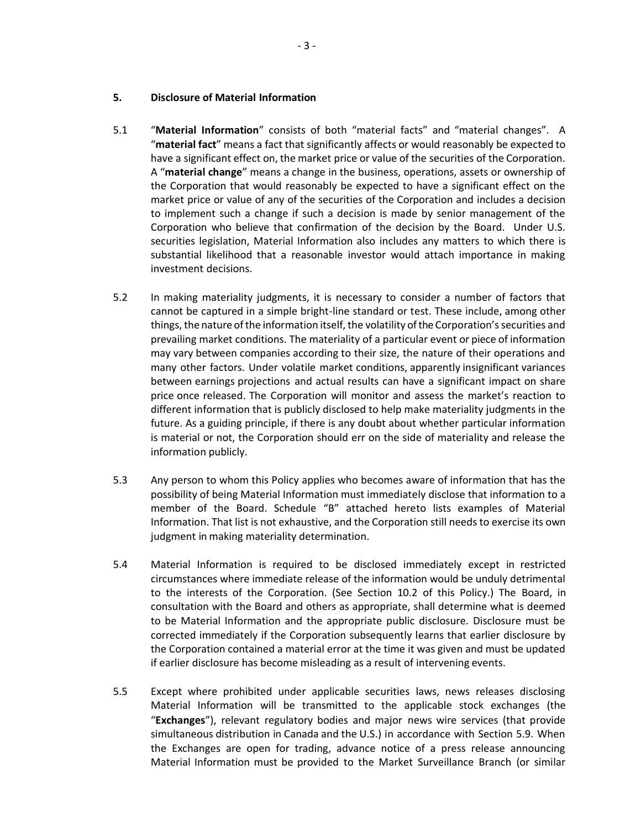- 5.1 "**Material Information**" consists of both "material facts" and "material changes". A "**material fact**" means a fact that significantly affects or would reasonably be expected to have a significant effect on, the market price or value of the securities of the Corporation. A "**material change**" means a change in the business, operations, assets or ownership of the Corporation that would reasonably be expected to have a significant effect on the market price or value of any of the securities of the Corporation and includes a decision to implement such a change if such a decision is made by senior management of the Corporation who believe that confirmation of the decision by the Board. Under U.S. securities legislation, Material Information also includes any matters to which there is substantial likelihood that a reasonable investor would attach importance in making investment decisions.
- 5.2 In making materiality judgments, it is necessary to consider a number of factors that cannot be captured in a simple bright-line standard or test. These include, among other things, the nature of the information itself, the volatility of the Corporation's securities and prevailing market conditions. The materiality of a particular event or piece of information may vary between companies according to their size, the nature of their operations and many other factors. Under volatile market conditions, apparently insignificant variances between earnings projections and actual results can have a significant impact on share price once released. The Corporation will monitor and assess the market's reaction to different information that is publicly disclosed to help make materiality judgments in the future. As a guiding principle, if there is any doubt about whether particular information is material or not, the Corporation should err on the side of materiality and release the information publicly.
- 5.3 Any person to whom this Policy applies who becomes aware of information that has the possibility of being Material Information must immediately disclose that information to a member of the Board. Schedule "B" attached hereto lists examples of Material Information. That list is not exhaustive, and the Corporation still needs to exercise its own judgment in making materiality determination.
- 5.4 Material Information is required to be disclosed immediately except in restricted circumstances where immediate release of the information would be unduly detrimental to the interests of the Corporation. (See Section 10.2 of this Policy.) The Board, in consultation with the Board and others as appropriate, shall determine what is deemed to be Material Information and the appropriate public disclosure. Disclosure must be corrected immediately if the Corporation subsequently learns that earlier disclosure by the Corporation contained a material error at the time it was given and must be updated if earlier disclosure has become misleading as a result of intervening events.
- 5.5 Except where prohibited under applicable securities laws, news releases disclosing Material Information will be transmitted to the applicable stock exchanges (the "**Exchanges**"), relevant regulatory bodies and major news wire services (that provide simultaneous distribution in Canada and the U.S.) in accordance with Section 5.9. When the Exchanges are open for trading, advance notice of a press release announcing Material Information must be provided to the Market Surveillance Branch (or similar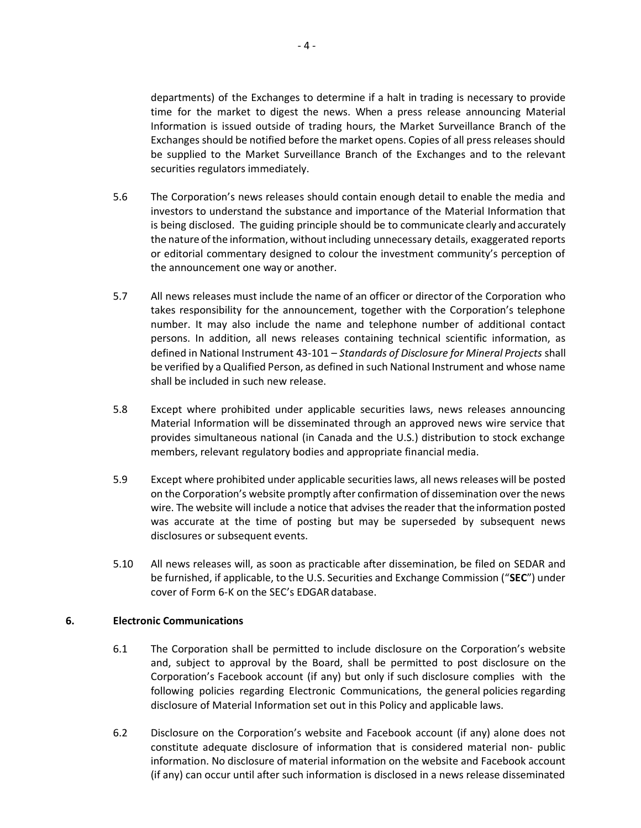departments) of the Exchanges to determine if a halt in trading is necessary to provide time for the market to digest the news. When a press release announcing Material Information is issued outside of trading hours, the Market Surveillance Branch of the Exchanges should be notified before the market opens. Copies of all press releases should be supplied to the Market Surveillance Branch of the Exchanges and to the relevant securities regulators immediately.

- 5.6 The Corporation's news releases should contain enough detail to enable the media and investors to understand the substance and importance of the Material Information that is being disclosed. The guiding principle should be to communicate clearly and accurately the nature of the information, without including unnecessary details, exaggerated reports or editorial commentary designed to colour the investment community's perception of the announcement one way or another.
- 5.7 All news releases must include the name of an officer or director of the Corporation who takes responsibility for the announcement, together with the Corporation's telephone number. It may also include the name and telephone number of additional contact persons. In addition, all news releases containing technical scientific information, as defined in National Instrument 43-101 – *Standards of Disclosure for Mineral Projects* shall be verified by a Qualified Person, as defined in such National Instrument and whose name shall be included in such new release.
- 5.8 Except where prohibited under applicable securities laws, news releases announcing Material Information will be disseminated through an approved news wire service that provides simultaneous national (in Canada and the U.S.) distribution to stock exchange members, relevant regulatory bodies and appropriate financial media.
- 5.9 Except where prohibited under applicable securitieslaws, all news releases will be posted on the Corporation's website promptly after confirmation of dissemination over the news wire. The website will include a notice that advises the reader that the information posted was accurate at the time of posting but may be superseded by subsequent news disclosures or subsequent events.
- 5.10 All news releases will, as soon as practicable after dissemination, be filed on SEDAR and be furnished, if applicable, to the U.S. Securities and Exchange Commission ("**SEC**") under cover of Form 6-K on the SEC's EDGAR database.

## **6. Electronic Communications**

- 6.1 The Corporation shall be permitted to include disclosure on the Corporation's website and, subject to approval by the Board, shall be permitted to post disclosure on the Corporation's Facebook account (if any) but only if such disclosure complies with the following policies regarding Electronic Communications, the general policies regarding disclosure of Material Information set out in this Policy and applicable laws.
- 6.2 Disclosure on the Corporation's website and Facebook account (if any) alone does not constitute adequate disclosure of information that is considered material non- public information. No disclosure of material information on the website and Facebook account (if any) can occur until after such information is disclosed in a news release disseminated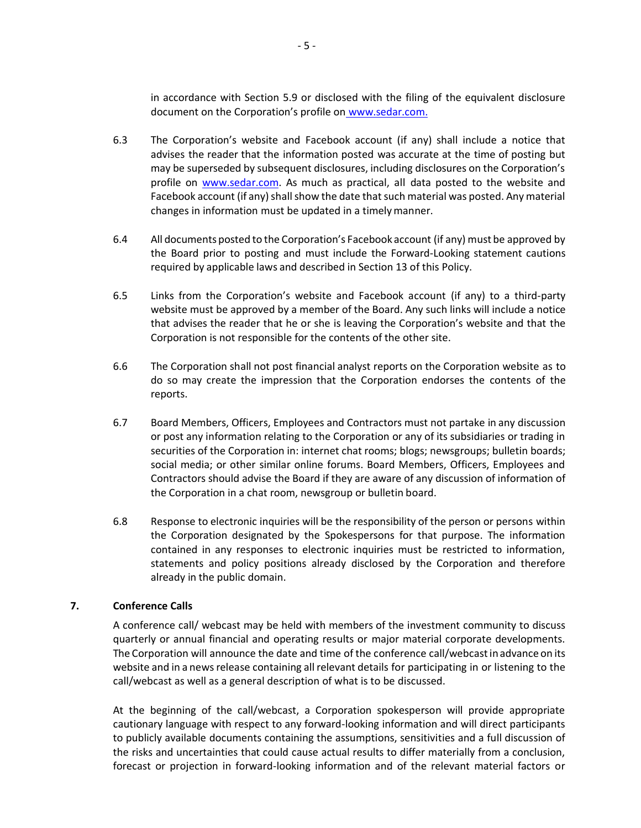in accordance with Section 5.9 or disclosed with the filing of the equivalent disclosure document on the Corporation's profile on [www.sedar.com.](http://www.sedar.com/)

- 6.3 The Corporation's website and Facebook account (if any) shall include a notice that advises the reader that the information posted was accurate at the time of posting but may be superseded by subsequent disclosures, including disclosures on the Corporation's profile on [www.sedar.com. A](http://www.sedar.com/)s much as practical, all data posted to the website and Facebook account (if any) shall show the date that such material was posted. Any material changes in information must be updated in a timelymanner.
- 6.4 All documents posted to the Corporation's Facebook account (if any) must be approved by the Board prior to posting and must include the Forward-Looking statement cautions required by applicable laws and described in Section 13 of this Policy.
- 6.5 Links from the Corporation's website and Facebook account (if any) to a third-party website must be approved by a member of the Board. Any such links will include a notice that advises the reader that he or she is leaving the Corporation's website and that the Corporation is not responsible for the contents of the other site.
- 6.6 The Corporation shall not post financial analyst reports on the Corporation website as to do so may create the impression that the Corporation endorses the contents of the reports.
- 6.7 Board Members, Officers, Employees and Contractors must not partake in any discussion or post any information relating to the Corporation or any of its subsidiaries or trading in securities of the Corporation in: internet chat rooms; blogs; newsgroups; bulletin boards; social media; or other similar online forums. Board Members, Officers, Employees and Contractors should advise the Board if they are aware of any discussion of information of the Corporation in a chat room, newsgroup or bulletin board.
- 6.8 Response to electronic inquiries will be the responsibility of the person or persons within the Corporation designated by the Spokespersons for that purpose. The information contained in any responses to electronic inquiries must be restricted to information, statements and policy positions already disclosed by the Corporation and therefore already in the public domain.

## **7. Conference Calls**

A conference call/ webcast may be held with members of the investment community to discuss quarterly or annual financial and operating results or major material corporate developments. The Corporation will announce the date and time of the conference call/webcastin advance on its website and in a news release containing all relevant details for participating in or listening to the call/webcast as well as a general description of what is to be discussed.

At the beginning of the call/webcast, a Corporation spokesperson will provide appropriate cautionary language with respect to any forward-looking information and will direct participants to publicly available documents containing the assumptions, sensitivities and a full discussion of the risks and uncertainties that could cause actual results to differ materially from a conclusion, forecast or projection in forward-looking information and of the relevant material factors or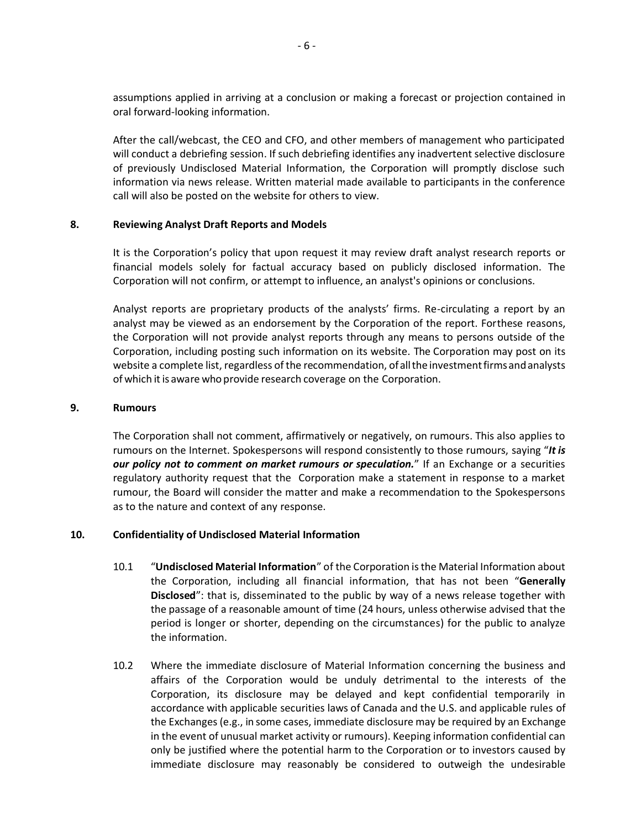assumptions applied in arriving at a conclusion or making a forecast or projection contained in oral forward-looking information.

After the call/webcast, the CEO and CFO, and other members of management who participated will conduct a debriefing session. If such debriefing identifies any inadvertent selective disclosure of previously Undisclosed Material Information, the Corporation will promptly disclose such information via news release. Written material made available to participants in the conference call will also be posted on the website for others to view.

### **8. Reviewing Analyst Draft Reports and Models**

It is the Corporation's policy that upon request it may review draft analyst research reports or financial models solely for factual accuracy based on publicly disclosed information. The Corporation will not confirm, or attempt to influence, an analyst's opinions or conclusions.

Analyst reports are proprietary products of the analysts' firms. Re-circulating a report by an analyst may be viewed as an endorsement by the Corporation of the report. Forthese reasons, the Corporation will not provide analyst reports through any means to persons outside of the Corporation, including posting such information on its website. The Corporation may post on its website a complete list, regardless of the recommendation, of all the investment firms and analysts of which it is aware who provide research coverage on the Corporation.

### **9. Rumours**

The Corporation shall not comment, affirmatively or negatively, on rumours. This also applies to rumours on the Internet. Spokespersons will respond consistently to those rumours, saying "*It is our policy not to comment on market rumours or speculation.*" If an Exchange or a securities regulatory authority request that the Corporation make a statement in response to a market rumour, the Board will consider the matter and make a recommendation to the Spokespersons as to the nature and context of any response.

## **10. Confidentiality of Undisclosed Material Information**

- 10.1 "**Undisclosed Material Information**" of the Corporation is the Material Information about the Corporation, including all financial information, that has not been "**Generally Disclosed**": that is, disseminated to the public by way of a news release together with the passage of a reasonable amount of time (24 hours, unless otherwise advised that the period is longer or shorter, depending on the circumstances) for the public to analyze the information.
- 10.2 Where the immediate disclosure of Material Information concerning the business and affairs of the Corporation would be unduly detrimental to the interests of the Corporation, its disclosure may be delayed and kept confidential temporarily in accordance with applicable securities laws of Canada and the U.S. and applicable rules of the Exchanges (e.g., in some cases, immediate disclosure may be required by an Exchange in the event of unusual market activity or rumours). Keeping information confidential can only be justified where the potential harm to the Corporation or to investors caused by immediate disclosure may reasonably be considered to outweigh the undesirable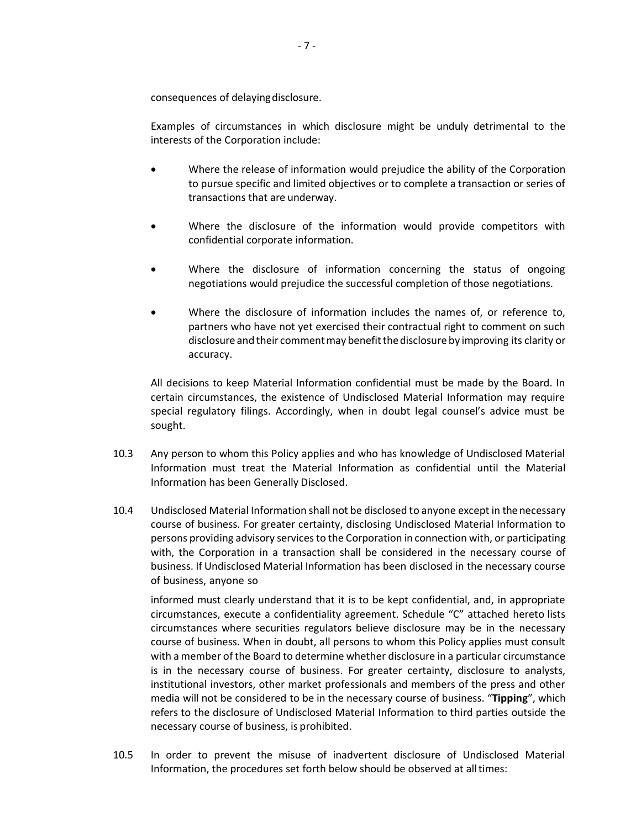consequences of delayingdisclosure.

Examples of circumstances in which disclosure might be unduly detrimental to the interests of the Corporation include:

- Where the release of information would prejudice the ability of the Corporation to pursue specific and limited objectives or to complete a transaction or series of transactions that are underway.
- Where the disclosure of the information would provide competitors with confidential corporate information.
- Where the disclosure of information concerning the status of ongoing negotiations would prejudice the successful completion of those negotiations.
- Where the disclosure of information includes the names of, or reference to, partners who have not yet exercised their contractual right to comment on such disclosure and their commentmay benefitthedisclosure by improving its clarity or accuracy.

All decisions to keep Material Information confidential must be made by the Board. In certain circumstances, the existence of Undisclosed Material Information may require special regulatory filings. Accordingly, when in doubt legal counsel's advice must be sought.

- 10.3 Any person to whom this Policy applies and who has knowledge of Undisclosed Material Information must treat the Material Information as confidential until the Material Information has been Generally Disclosed.
- 10.4 Undisclosed Material Information shall not be disclosed to anyone except in the necessary course of business. For greater certainty, disclosing Undisclosed Material Information to persons providing advisory services to the Corporation in connection with, or participating with, the Corporation in a transaction shall be considered in the necessary course of business. If Undisclosed Material Information has been disclosed in the necessary course of business, anyone so

informed must clearly understand that it is to be kept confidential, and, in appropriate circumstances, execute a confidentiality agreement. Schedule "C" attached hereto lists circumstances where securities regulators believe disclosure may be in the necessary course of business. When in doubt, all persons to whom this Policy applies must consult with a member of the Board to determine whether disclosure in a particular circumstance is in the necessary course of business. For greater certainty, disclosure to analysts, institutional investors, other market professionals and members of the press and other media will not be considered to be in the necessary course of business. "**Tipping**", which refers to the disclosure of Undisclosed Material Information to third parties outside the necessary course of business, is prohibited.

10.5 In order to prevent the misuse of inadvertent disclosure of Undisclosed Material Information, the procedures set forth below should be observed at alltimes: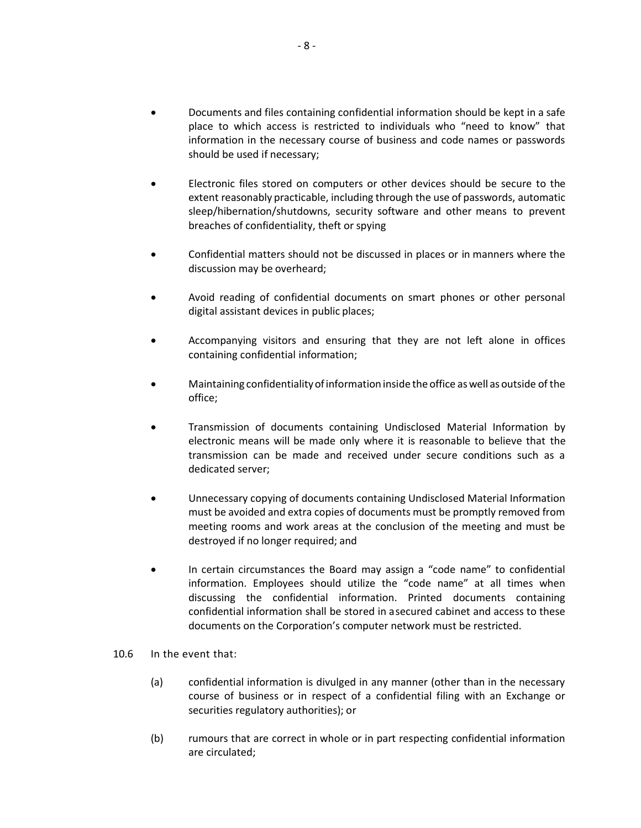- Documents and files containing confidential information should be kept in a safe place to which access is restricted to individuals who "need to know" that information in the necessary course of business and code names or passwords should be used if necessary;
- Electronic files stored on computers or other devices should be secure to the extent reasonably practicable, including through the use of passwords, automatic sleep/hibernation/shutdowns, security software and other means to prevent breaches of confidentiality, theft or spying
- Confidential matters should not be discussed in places or in manners where the discussion may be overheard;
- Avoid reading of confidential documents on smart phones or other personal digital assistant devices in public places;
- Accompanying visitors and ensuring that they are not left alone in offices containing confidential information;
- Maintaining confidentiality of information inside the office as well as outside of the office;
- Transmission of documents containing Undisclosed Material Information by electronic means will be made only where it is reasonable to believe that the transmission can be made and received under secure conditions such as a dedicated server;
- Unnecessary copying of documents containing Undisclosed Material Information must be avoided and extra copies of documents must be promptly removed from meeting rooms and work areas at the conclusion of the meeting and must be destroyed if no longer required; and
- In certain circumstances the Board may assign a "code name" to confidential information. Employees should utilize the "code name" at all times when discussing the confidential information. Printed documents containing confidential information shall be stored in a secured cabinet and access to these documents on the Corporation's computer network must be restricted.
- 10.6 In the event that:
	- (a) confidential information is divulged in any manner (other than in the necessary course of business or in respect of a confidential filing with an Exchange or securities regulatory authorities); or
	- (b) rumours that are correct in whole or in part respecting confidential information are circulated;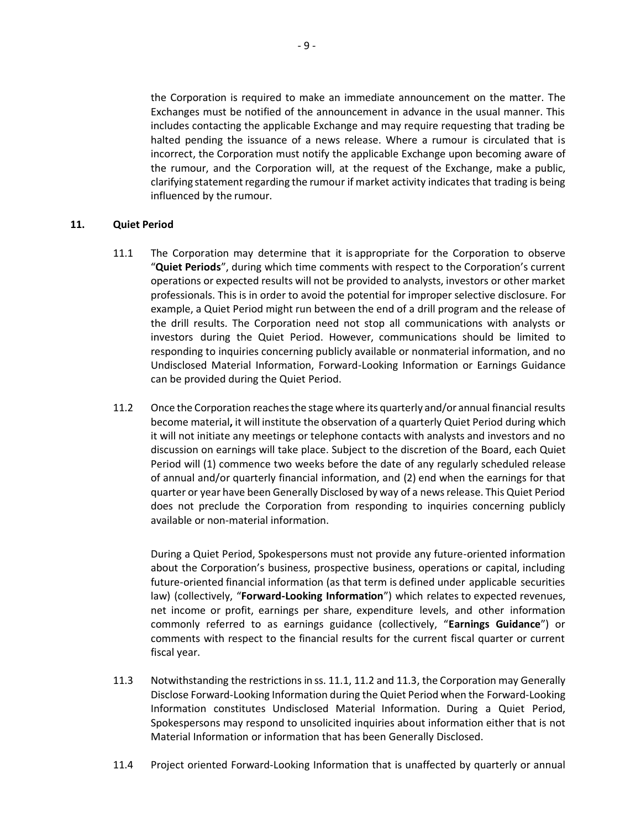the Corporation is required to make an immediate announcement on the matter. The Exchanges must be notified of the announcement in advance in the usual manner. This includes contacting the applicable Exchange and may require requesting that trading be halted pending the issuance of a news release. Where a rumour is circulated that is incorrect, the Corporation must notify the applicable Exchange upon becoming aware of the rumour, and the Corporation will, at the request of the Exchange, make a public, clarifying statement regarding the rumour if market activity indicates that trading is being influenced by the rumour.

### **11. Quiet Period**

- 11.1 The Corporation may determine that it is appropriate for the Corporation to observe "**Quiet Periods**", during which time comments with respect to the Corporation's current operations or expected results will not be provided to analysts, investors or other market professionals. This is in order to avoid the potential for improper selective disclosure. For example, a Quiet Period might run between the end of a drill program and the release of the drill results. The Corporation need not stop all communications with analysts or investors during the Quiet Period. However, communications should be limited to responding to inquiries concerning publicly available or nonmaterial information, and no Undisclosed Material Information, Forward-Looking Information or Earnings Guidance can be provided during the Quiet Period.
- 11.2 Once the Corporation reachesthe stage where its quarterly and/or annual financial results become material**,** it will institute the observation of a quarterly Quiet Period during which it will not initiate any meetings or telephone contacts with analysts and investors and no discussion on earnings will take place. Subject to the discretion of the Board, each Quiet Period will (1) commence two weeks before the date of any regularly scheduled release of annual and/or quarterly financial information, and (2) end when the earnings for that quarter or year have been Generally Disclosed by way of a news release. This Quiet Period does not preclude the Corporation from responding to inquiries concerning publicly available or non-material information.

During a Quiet Period, Spokespersons must not provide any future-oriented information about the Corporation's business, prospective business, operations or capital, including future-oriented financial information (as that term is defined under applicable securities law) (collectively, "**Forward-Looking Information**") which relates to expected revenues, net income or profit, earnings per share, expenditure levels, and other information commonly referred to as earnings guidance (collectively, "**Earnings Guidance**") or comments with respect to the financial results for the current fiscal quarter or current fiscal year.

- 11.3 Notwithstanding the restrictions in ss. 11.1, 11.2 and 11.3, the Corporation may Generally Disclose Forward-Looking Information during the Quiet Period when the Forward-Looking Information constitutes Undisclosed Material Information. During a Quiet Period, Spokespersons may respond to unsolicited inquiries about information either that is not Material Information or information that has been Generally Disclosed.
- 11.4 Project oriented Forward-Looking Information that is unaffected by quarterly or annual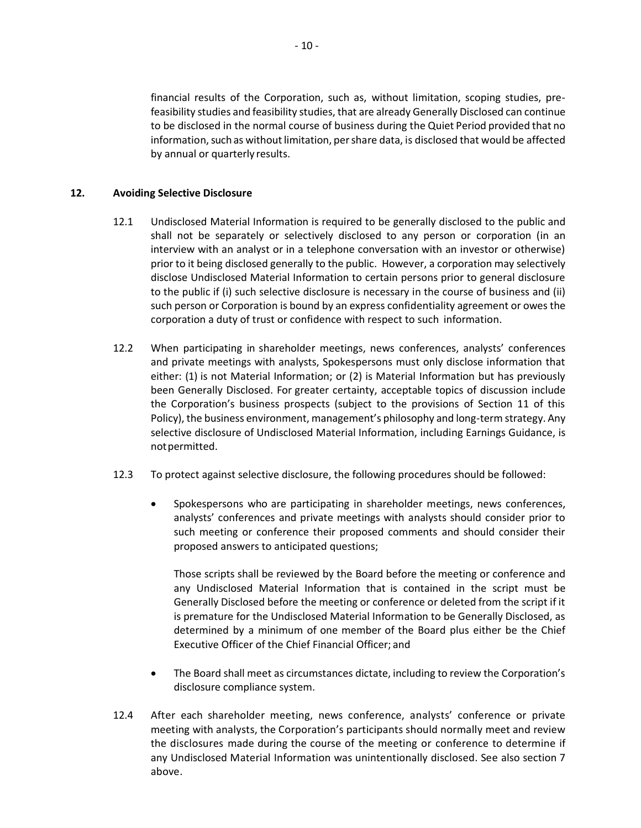financial results of the Corporation, such as, without limitation, scoping studies, prefeasibility studies and feasibility studies, that are already Generally Disclosed can continue to be disclosed in the normal course of business during the Quiet Period provided that no information, such as without limitation, per share data, is disclosed that would be affected by annual or quarterly results.

## **12. Avoiding Selective Disclosure**

- 12.1 Undisclosed Material Information is required to be generally disclosed to the public and shall not be separately or selectively disclosed to any person or corporation (in an interview with an analyst or in a telephone conversation with an investor or otherwise) prior to it being disclosed generally to the public. However, a corporation may selectively disclose Undisclosed Material Information to certain persons prior to general disclosure to the public if (i) such selective disclosure is necessary in the course of business and (ii) such person or Corporation is bound by an express confidentiality agreement or owes the corporation a duty of trust or confidence with respect to such information.
- 12.2 When participating in shareholder meetings, news conferences, analysts' conferences and private meetings with analysts, Spokespersons must only disclose information that either: (1) is not Material Information; or (2) is Material Information but has previously been Generally Disclosed. For greater certainty, acceptable topics of discussion include the Corporation's business prospects (subject to the provisions of Section 11 of this Policy), the business environment, management's philosophy and long-term strategy. Any selective disclosure of Undisclosed Material Information, including Earnings Guidance, is notpermitted.
- 12.3 To protect against selective disclosure, the following procedures should be followed:
	- Spokespersons who are participating in shareholder meetings, news conferences, analysts' conferences and private meetings with analysts should consider prior to such meeting or conference their proposed comments and should consider their proposed answers to anticipated questions;

Those scripts shall be reviewed by the Board before the meeting or conference and any Undisclosed Material Information that is contained in the script must be Generally Disclosed before the meeting or conference or deleted from the script if it is premature for the Undisclosed Material Information to be Generally Disclosed, as determined by a minimum of one member of the Board plus either be the Chief Executive Officer of the Chief Financial Officer; and

- The Board shall meet as circumstances dictate, including to review the Corporation's disclosure compliance system.
- 12.4 After each shareholder meeting, news conference, analysts' conference or private meeting with analysts, the Corporation's participants should normally meet and review the disclosures made during the course of the meeting or conference to determine if any Undisclosed Material Information was unintentionally disclosed. See also section 7 above.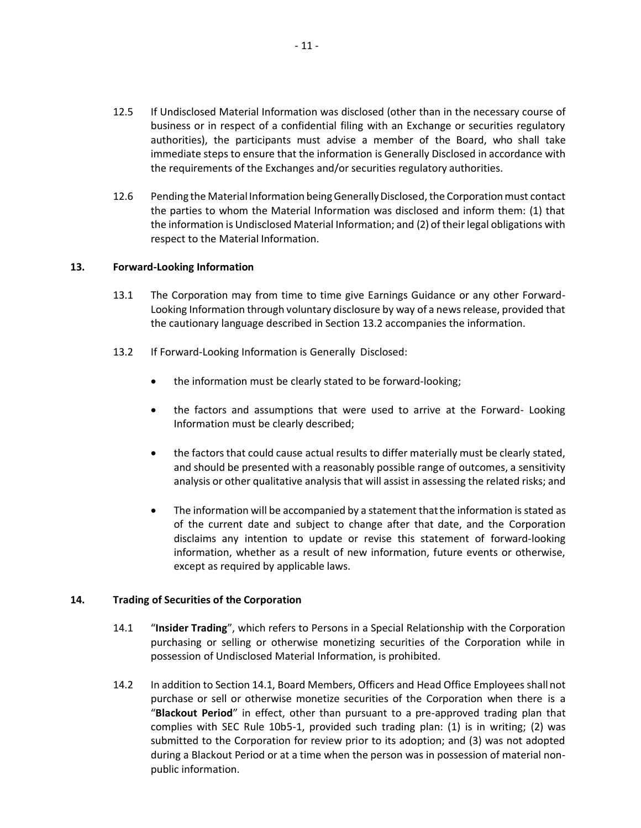- 12.5 If Undisclosed Material Information was disclosed (other than in the necessary course of business or in respect of a confidential filing with an Exchange or securities regulatory authorities), the participants must advise a member of the Board, who shall take immediate steps to ensure that the information is Generally Disclosed in accordance with the requirements of the Exchanges and/or securities regulatory authorities.
- 12.6 Pending the Material Information beingGenerallyDisclosed,the Corporationmust contact the parties to whom the Material Information was disclosed and inform them: (1) that the information is Undisclosed Material Information; and (2) of their legal obligations with respect to the Material Information.

### **13. Forward-Looking Information**

- 13.1 The Corporation may from time to time give Earnings Guidance or any other Forward-Looking Information through voluntary disclosure by way of a news release, provided that the cautionary language described in Section 13.2 accompanies the information.
- 13.2 If Forward-Looking Information is Generally Disclosed:
	- the information must be clearly stated to be forward-looking;
	- the factors and assumptions that were used to arrive at the Forward-Looking Information must be clearly described;
	- the factors that could cause actual results to differ materially must be clearly stated, and should be presented with a reasonably possible range of outcomes, a sensitivity analysis or other qualitative analysis that will assist in assessing the related risks; and
	- The information will be accompanied by a statement thatthe information is stated as of the current date and subject to change after that date, and the Corporation disclaims any intention to update or revise this statement of forward-looking information, whether as a result of new information, future events or otherwise, except as required by applicable laws.

### **14. Trading of Securities of the Corporation**

- 14.1 "**Insider Trading**", which refers to Persons in a Special Relationship with the Corporation purchasing or selling or otherwise monetizing securities of the Corporation while in possession of Undisclosed Material Information, is prohibited.
- 14.2 In addition to Section 14.1, Board Members, Officers and Head Office Employees shall not purchase or sell or otherwise monetize securities of the Corporation when there is a "**Blackout Period**" in effect, other than pursuant to a pre-approved trading plan that complies with SEC Rule 10b5-1, provided such trading plan: (1) is in writing; (2) was submitted to the Corporation for review prior to its adoption; and (3) was not adopted during a Blackout Period or at a time when the person was in possession of material nonpublic information.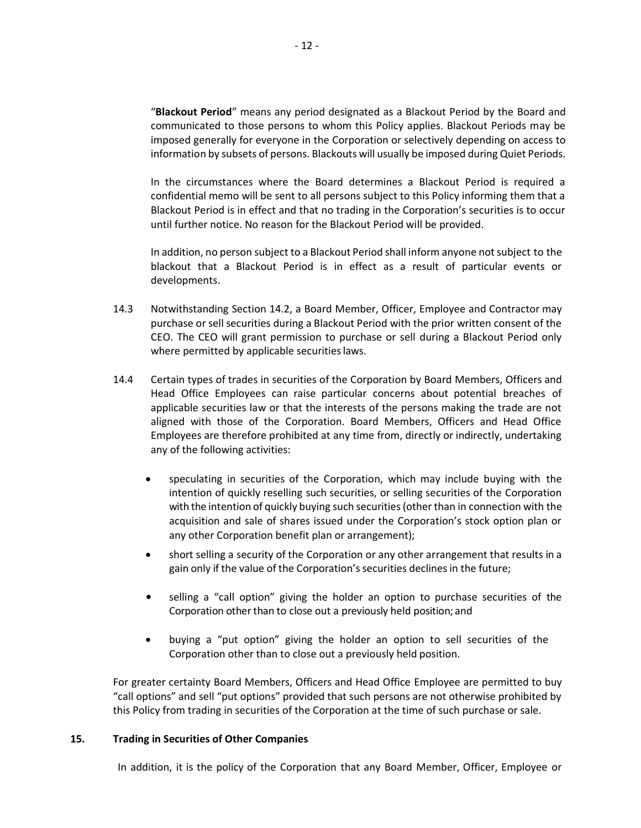"**Blackout Period**" means any period designated as a Blackout Period by the Board and communicated to those persons to whom this Policy applies. Blackout Periods may be imposed generally for everyone in the Corporation or selectively depending on access to information by subsets of persons. Blackouts will usually be imposed during Quiet Periods.

In the circumstances where the Board determines a Blackout Period is required a confidential memo will be sent to all persons subject to this Policy informing them that a Blackout Period is in effect and that no trading in the Corporation's securities is to occur until further notice. No reason for the Blackout Period will be provided.

In addition, no person subject to a Blackout Period shall inform anyone notsubject to the blackout that a Blackout Period is in effect as a result of particular events or developments.

- 14.3 Notwithstanding Section 14.2, a Board Member, Officer, Employee and Contractor may purchase or sell securities during a Blackout Period with the prior written consent of the CEO. The CEO will grant permission to purchase or sell during a Blackout Period only where permitted by applicable securities laws.
- 14.4 Certain types of trades in securities of the Corporation by Board Members, Officers and Head Office Employees can raise particular concerns about potential breaches of applicable securities law or that the interests of the persons making the trade are not aligned with those of the Corporation. Board Members, Officers and Head Office Employees are therefore prohibited at any time from, directly or indirectly, undertaking any of the following activities:
	- speculating in securities of the Corporation, which may include buying with the intention of quickly reselling such securities, or selling securities of the Corporation with the intention of quickly buying such securities(other than in connection with the acquisition and sale of shares issued under the Corporation's stock option plan or any other Corporation benefit plan or arrangement);
	- short selling a security of the Corporation or any other arrangement that results in a gain only if the value of the Corporation's securities declines in the future;
	- selling a "call option" giving the holder an option to purchase securities of the Corporation other than to close out a previously held position; and
	- buying a "put option" giving the holder an option to sell securities of the Corporation other than to close out a previously held position.

For greater certainty Board Members, Officers and Head Office Employee are permitted to buy "call options" and sell "put options" provided that such persons are not otherwise prohibited by this Policy from trading in securities of the Corporation at the time of such purchase or sale.

### **15. Trading in Securities of Other Companies**

In addition, it is the policy of the Corporation that any Board Member, Officer, Employee or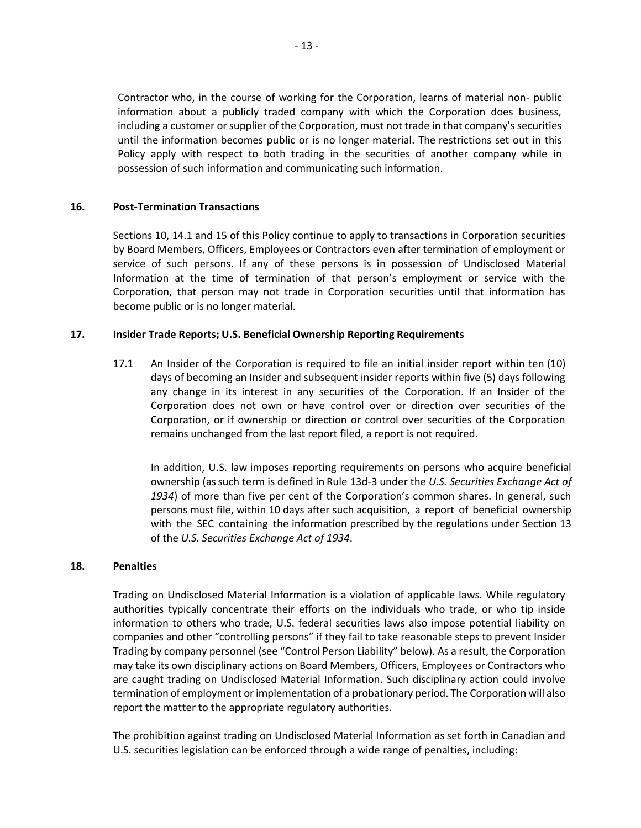Contractor who, in the course of working for the Corporation, learns of material non- public information about a publicly traded company with which the Corporation does business, including a customer or supplier of the Corporation, must not trade in that company's securities until the information becomes public or is no longer material. The restrictions set out in this Policy apply with respect to both trading in the securities of another company while in possession of such information and communicating such information.

### **16. Post-Termination Transactions**

Sections 10, 14.1 and 15 of this Policy continue to apply to transactions in Corporation securities by Board Members, Officers, Employees or Contractors even after termination of employment or service of such persons. If any of these persons is in possession of Undisclosed Material Information at the time of termination of that person's employment or service with the Corporation, that person may not trade in Corporation securities until that information has become public or is no longer material.

### **17. Insider Trade Reports; U.S. Beneficial Ownership Reporting Requirements**

17.1 An Insider of the Corporation is required to file an initial insider report within ten (10) days of becoming an Insider and subsequent insider reports within five (5) days following any change in its interest in any securities of the Corporation. If an Insider of the Corporation does not own or have control over or direction over securities of the Corporation, or if ownership or direction or control over securities of the Corporation remains unchanged from the last report filed, a report is not required.

In addition, U.S. law imposes reporting requirements on persons who acquire beneficial ownership (as such term is defined in Rule 13d-3 under the *U.S. Securities Exchange Act of 1934*) of more than five per cent of the Corporation's common shares. In general, such persons must file, within 10 days after such acquisition, a report of beneficial ownership with the SEC containing the information prescribed by the regulations under Section 13 of the *U.S. Securities Exchange Act of 1934*.

### **18. Penalties**

Trading on Undisclosed Material Information is a violation of applicable laws. While regulatory authorities typically concentrate their efforts on the individuals who trade, or who tip inside information to others who trade, U.S. federal securities laws also impose potential liability on companies and other "controlling persons" if they fail to take reasonable steps to prevent Insider Trading by company personnel (see "Control Person Liability" below). As a result, the Corporation may take its own disciplinary actions on Board Members, Officers, Employees or Contractors who are caught trading on Undisclosed Material Information. Such disciplinary action could involve termination of employment or implementation of a probationary period. The Corporation will also report the matter to the appropriate regulatory authorities.

The prohibition against trading on Undisclosed Material Information as set forth in Canadian and U.S. securities legislation can be enforced through a wide range of penalties, including: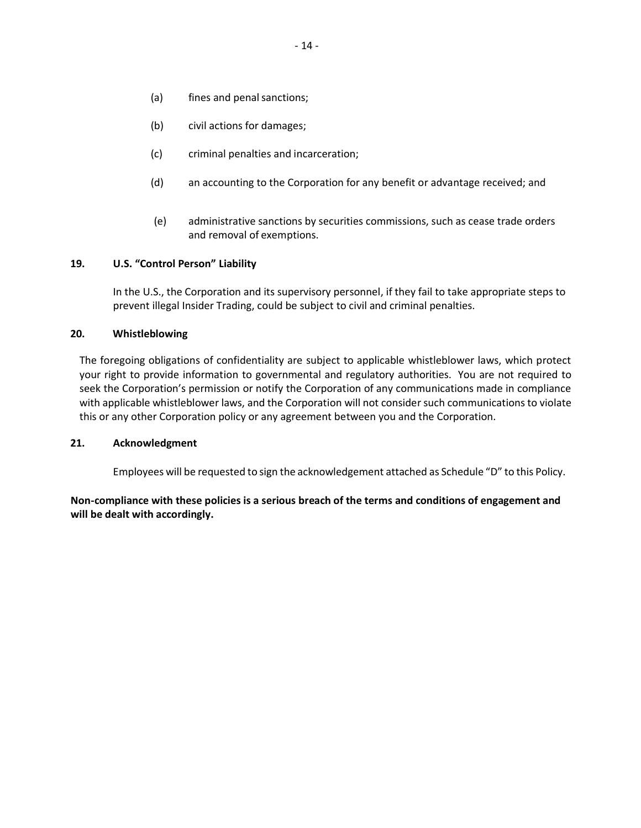- (a) fines and penal sanctions;
- (b) civil actions for damages;
- (c) criminal penalties and incarceration;
- (d) an accounting to the Corporation for any benefit or advantage received; and
- (e) administrative sanctions by securities commissions, such as cease trade orders and removal of exemptions.

## **19. U.S. "Control Person" Liability**

In the U.S., the Corporation and its supervisory personnel, if they fail to take appropriate steps to prevent illegal Insider Trading, could be subject to civil and criminal penalties.

## **20. Whistleblowing**

The foregoing obligations of confidentiality are subject to applicable whistleblower laws, which protect your right to provide information to governmental and regulatory authorities. You are not required to seek the Corporation's permission or notify the Corporation of any communications made in compliance with applicable whistleblower laws, and the Corporation will not consider such communications to violate this or any other Corporation policy or any agreement between you and the Corporation.

### **21. Acknowledgment**

Employees will be requested to sign the acknowledgement attached as Schedule "D" to this Policy.

## **Non-compliance with these policies is a serious breach of the terms and conditions of engagement and will be dealt with accordingly.**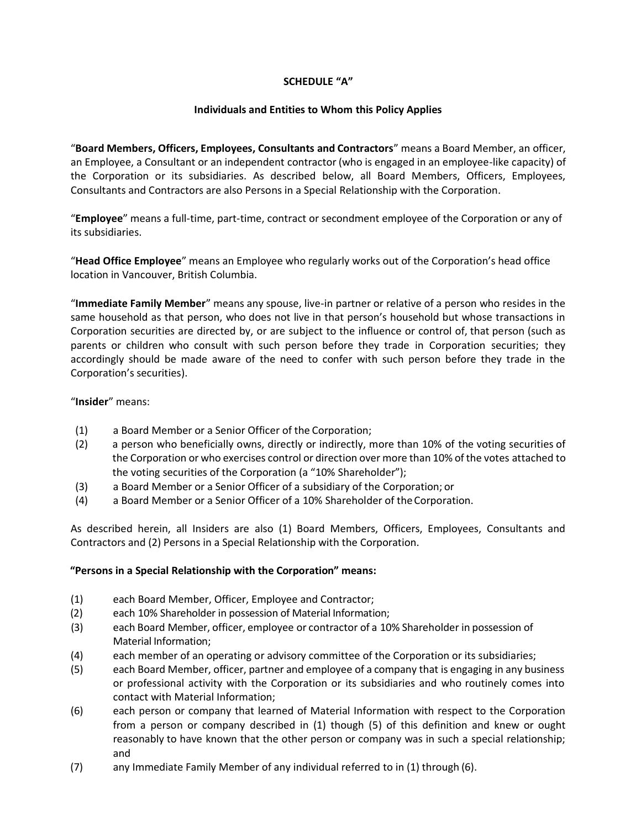## **SCHEDULE "A"**

## **Individuals and Entities to Whom this Policy Applies**

"**Board Members, Officers, Employees, Consultants and Contractors**" means a Board Member, an officer, an Employee, a Consultant or an independent contractor (who is engaged in an employee-like capacity) of the Corporation or its subsidiaries. As described below, all Board Members, Officers, Employees, Consultants and Contractors are also Persons in a Special Relationship with the Corporation.

"**Employee**" means a full-time, part-time, contract or secondment employee of the Corporation or any of its subsidiaries.

"**Head Office Employee**" means an Employee who regularly works out of the Corporation's head office location in Vancouver, British Columbia.

"**Immediate Family Member**" means any spouse, live-in partner or relative of a person who resides in the same household as that person, who does not live in that person's household but whose transactions in Corporation securities are directed by, or are subject to the influence or control of, that person (such as parents or children who consult with such person before they trade in Corporation securities; they accordingly should be made aware of the need to confer with such person before they trade in the Corporation's securities).

## "**Insider**" means:

- (1) a Board Member or a Senior Officer of the Corporation;
- (2) a person who beneficially owns, directly or indirectly, more than 10% of the voting securities of the Corporation or who exercises control or direction over more than 10% of the votes attached to the voting securities of the Corporation (a "10% Shareholder");
- (3) a Board Member or a Senior Officer of a subsidiary of the Corporation; or
- (4) a Board Member or a Senior Officer of a 10% Shareholder of theCorporation.

As described herein, all Insiders are also (1) Board Members, Officers, Employees, Consultants and Contractors and (2) Persons in a Special Relationship with the Corporation.

## **"Persons in a Special Relationship with the Corporation" means:**

- (1) each Board Member, Officer, Employee and Contractor;
- (2) each 10% Shareholder in possession of Material Information;
- (3) each Board Member, officer, employee or contractor of a 10% Shareholder in possession of Material Information;
- (4) each member of an operating or advisory committee of the Corporation or its subsidiaries;
- (5) each Board Member, officer, partner and employee of a company that is engaging in any business or professional activity with the Corporation or its subsidiaries and who routinely comes into contact with Material Information;
- (6) each person or company that learned of Material Information with respect to the Corporation from a person or company described in (1) though (5) of this definition and knew or ought reasonably to have known that the other person or company was in such a special relationship; and
- (7) any Immediate Family Member of any individual referred to in (1) through (6).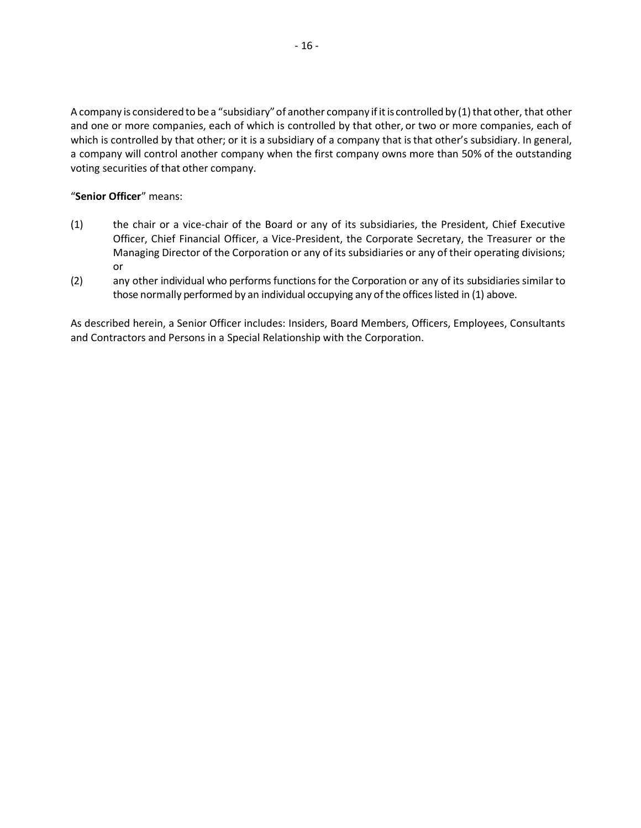A company is considered to be a "subsidiary" of another company if it is controlled by (1) that other, that other and one or more companies, each of which is controlled by that other, or two or more companies, each of which is controlled by that other; or it is a subsidiary of a company that is that other's subsidiary. In general, a company will control another company when the first company owns more than 50% of the outstanding voting securities of that other company.

## "**Senior Officer**" means:

- (1) the chair or a vice-chair of the Board or any of its subsidiaries, the President, Chief Executive Officer, Chief Financial Officer, a Vice-President, the Corporate Secretary, the Treasurer or the Managing Director of the Corporation or any of its subsidiaries or any of their operating divisions; or
- (2) any other individual who performs functions for the Corporation or any of its subsidiaries similar to those normally performed by an individual occupying any of the offices listed in (1) above.

As described herein, a Senior Officer includes: Insiders, Board Members, Officers, Employees, Consultants and Contractors and Persons in a Special Relationship with the Corporation.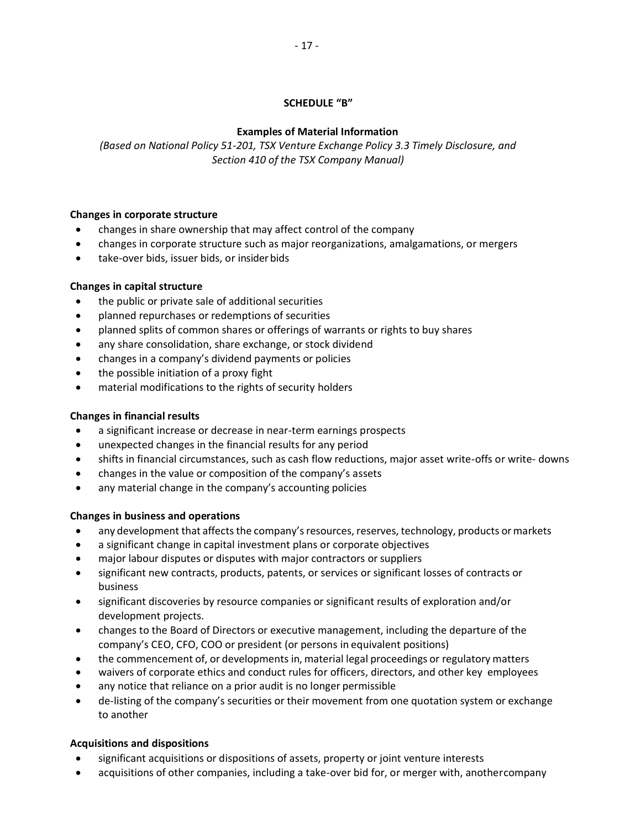## **SCHEDULE "B"**

## **Examples of Material Information**

*(Based on National Policy 51-201, TSX Venture Exchange Policy 3.3 Timely Disclosure, and Section 410 of the TSX Company Manual)*

## **Changes in corporate structure**

- changes in share ownership that may affect control of the company
- changes in corporate structure such as major reorganizations, amalgamations, or mergers
- take-over bids, issuer bids, or insiderbids

## **Changes in capital structure**

- the public or private sale of additional securities
- planned repurchases or redemptions of securities
- planned splits of common shares or offerings of warrants or rights to buy shares
- any share consolidation, share exchange, or stock dividend
- changes in a company's dividend payments or policies
- the possible initiation of a proxy fight
- material modifications to the rights of security holders

## **Changes in financial results**

- a significant increase or decrease in near-term earnings prospects
- unexpected changes in the financial results for any period
- shifts in financial circumstances, such as cash flow reductions, major asset write-offs or write- downs
- changes in the value or composition of the company's assets
- any material change in the company's accounting policies

## **Changes in business and operations**

- any development that affects the company's resources, reserves, technology, products or markets
- a significant change in capital investment plans or corporate objectives
- major labour disputes or disputes with major contractors or suppliers
- significant new contracts, products, patents, or services or significant losses of contracts or business
- significant discoveries by resource companies or significant results of exploration and/or development projects.
- changes to the Board of Directors or executive management, including the departure of the company's CEO, CFO, COO or president (or persons in equivalent positions)
- the commencement of, or developments in, material legal proceedings or regulatory matters
- waivers of corporate ethics and conduct rules for officers, directors, and other key employees
- any notice that reliance on a prior audit is no longer permissible
- de-listing of the company's securities or their movement from one quotation system or exchange to another

## **Acquisitions and dispositions**

- significant acquisitions or dispositions of assets, property or joint venture interests
- acquisitions of other companies, including a take-over bid for, or merger with, anothercompany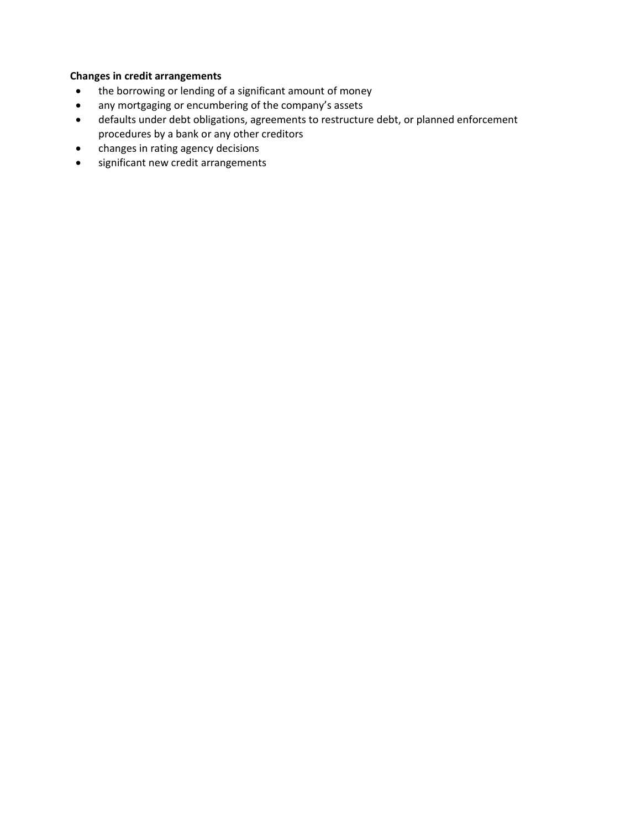# **Changes in credit arrangements**

- the borrowing or lending of a significant amount of money
- any mortgaging or encumbering of the company's assets
- defaults under debt obligations, agreements to restructure debt, or planned enforcement procedures by a bank or any other creditors
- changes in rating agency decisions
- significant new credit arrangements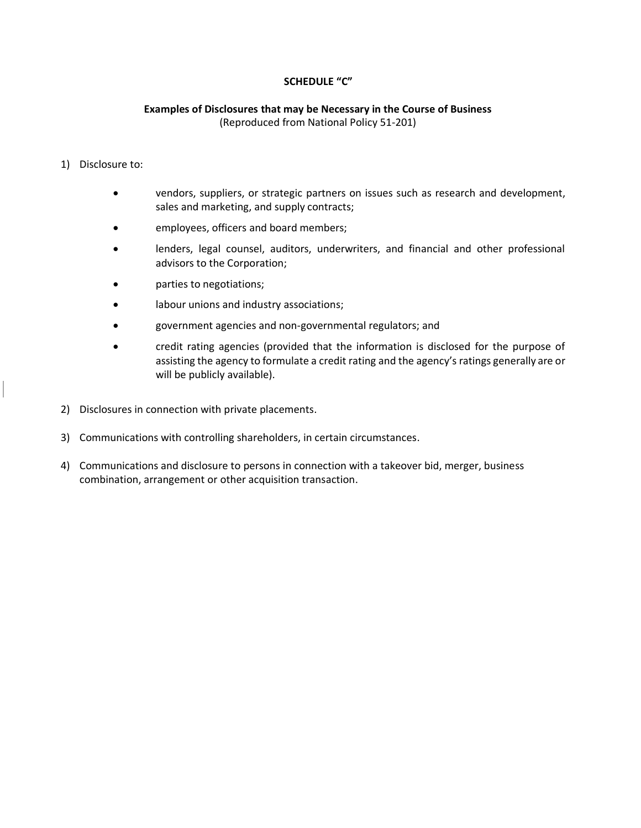## **SCHEDULE "C"**

### **Examples of Disclosures that may be Necessary in the Course of Business** (Reproduced from National Policy 51-201)

## 1) Disclosure to:

- vendors, suppliers, or strategic partners on issues such as research and development, sales and marketing, and supply contracts;
- employees, officers and board members;
- lenders, legal counsel, auditors, underwriters, and financial and other professional advisors to the Corporation;
- parties to negotiations;
- labour unions and industry associations;
- government agencies and non-governmental regulators; and
- credit rating agencies (provided that the information is disclosed for the purpose of assisting the agency to formulate a credit rating and the agency's ratings generally are or will be publicly available).
- 2) Disclosures in connection with private placements.
- 3) Communications with controlling shareholders, in certain circumstances.
- 4) Communications and disclosure to persons in connection with a takeover bid, merger, business combination, arrangement or other acquisition transaction.